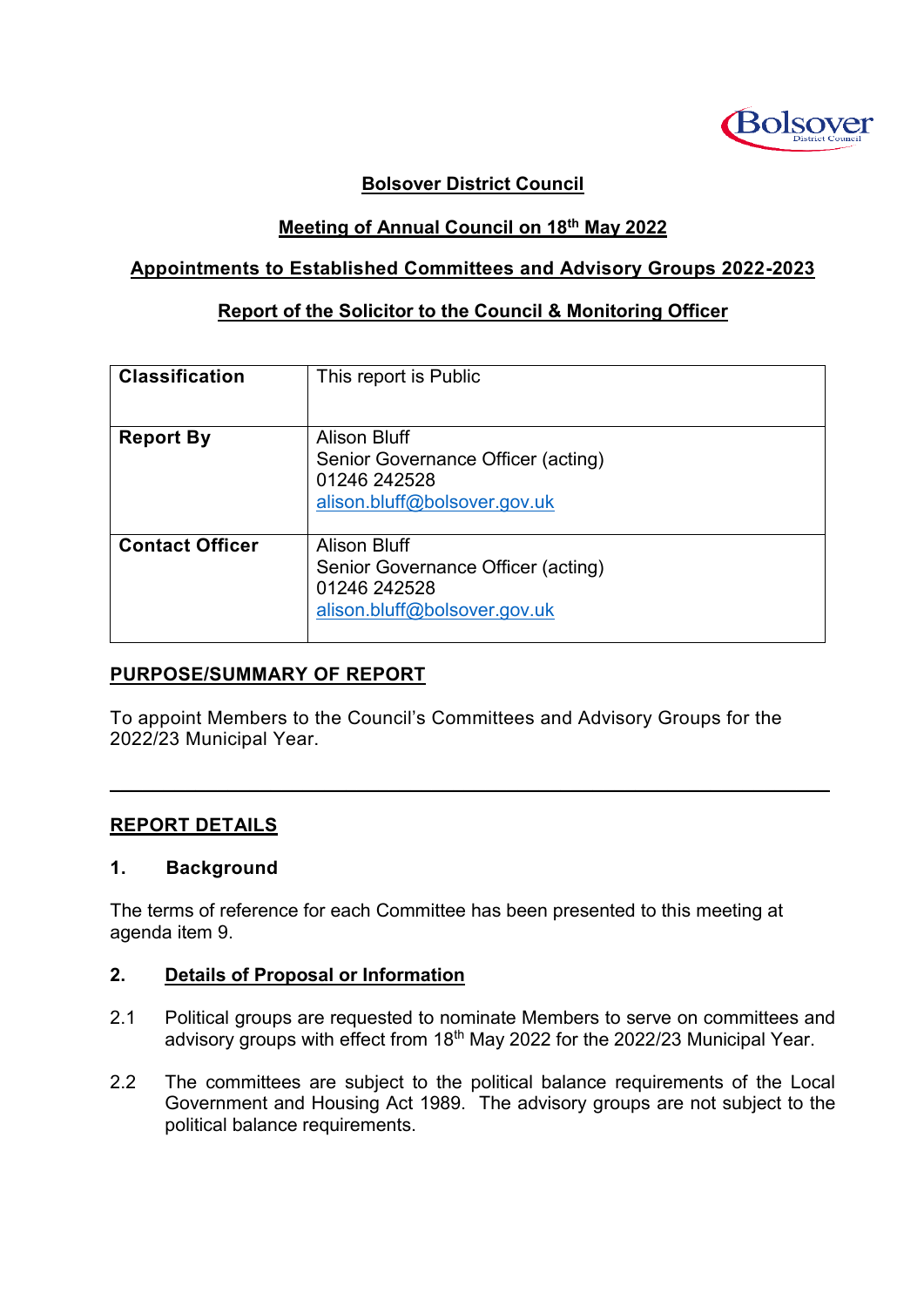

## **Bolsover District Council**

## **Meeting of Annual Council on 18th May 2022**

## **Appointments to Established Committees and Advisory Groups 2022-2023**

## **Report of the Solicitor to the Council & Monitoring Officer**

| <b>Classification</b>  | This report is Public                                                                                     |
|------------------------|-----------------------------------------------------------------------------------------------------------|
| <b>Report By</b>       | <b>Alison Bluff</b><br>Senior Governance Officer (acting)<br>01246 242528<br>alison.bluff@bolsover.gov.uk |
| <b>Contact Officer</b> | <b>Alison Bluff</b><br>Senior Governance Officer (acting)<br>01246 242528<br>alison.bluff@bolsover.gov.uk |

## **PURPOSE/SUMMARY OF REPORT**

To appoint Members to the Council's Committees and Advisory Groups for the 2022/23 Municipal Year.

 $\mathcal{L}_\mathcal{L} = \mathcal{L}_\mathcal{L} = \mathcal{L}_\mathcal{L} = \mathcal{L}_\mathcal{L} = \mathcal{L}_\mathcal{L} = \mathcal{L}_\mathcal{L} = \mathcal{L}_\mathcal{L} = \mathcal{L}_\mathcal{L} = \mathcal{L}_\mathcal{L} = \mathcal{L}_\mathcal{L} = \mathcal{L}_\mathcal{L} = \mathcal{L}_\mathcal{L} = \mathcal{L}_\mathcal{L} = \mathcal{L}_\mathcal{L} = \mathcal{L}_\mathcal{L} = \mathcal{L}_\mathcal{L} = \mathcal{L}_\mathcal{L}$ 

## **REPORT DETAILS**

#### **1. Background**

The terms of reference for each Committee has been presented to this meeting at agenda item 9.

#### **2. Details of Proposal or Information**

- 2.1 Political groups are requested to nominate Members to serve on committees and advisory groups with effect from 18<sup>th</sup> May 2022 for the 2022/23 Municipal Year.
- 2.2 The committees are subject to the political balance requirements of the Local Government and Housing Act 1989. The advisory groups are not subject to the political balance requirements.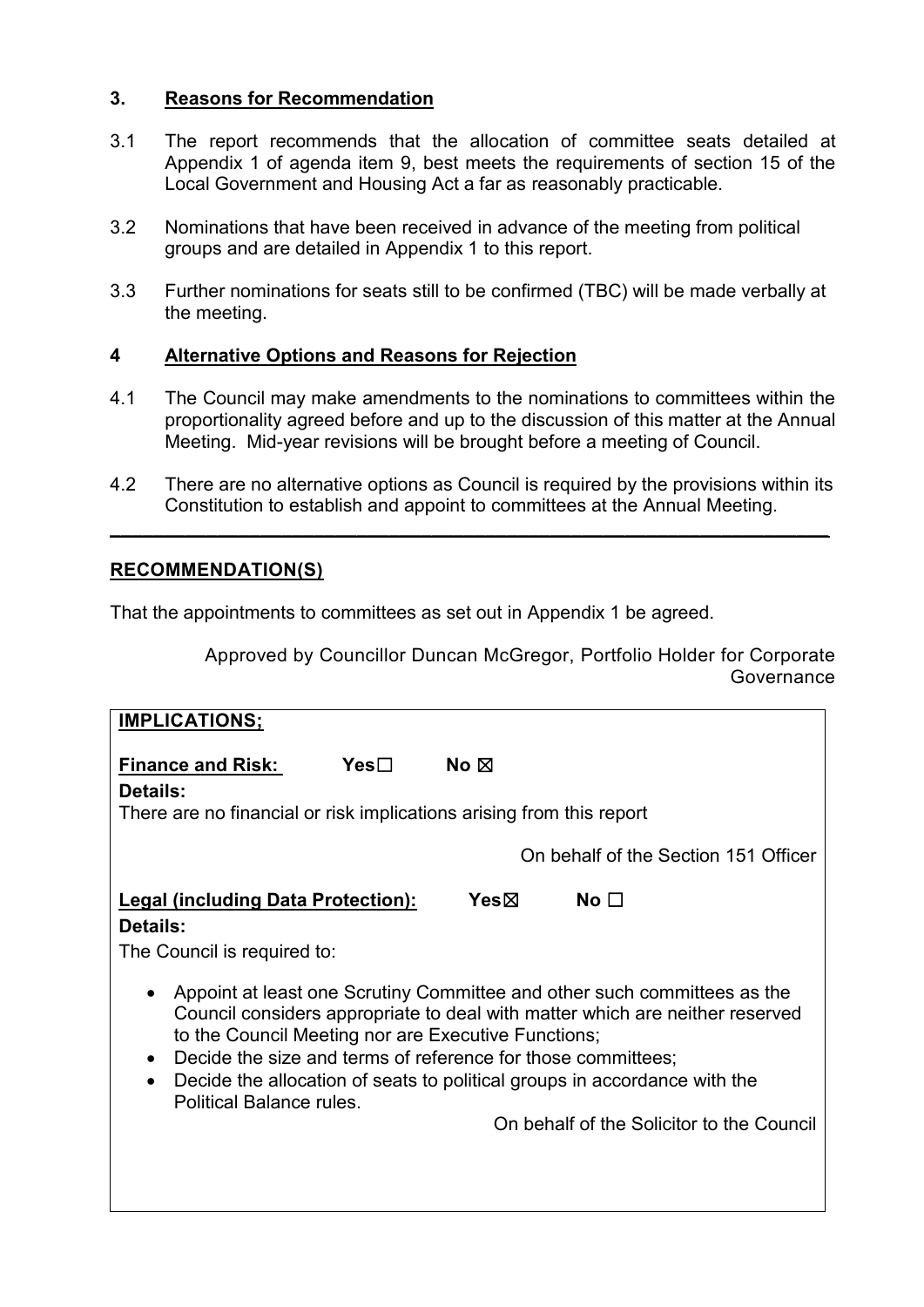## **3. Reasons for Recommendation**

- 3.1 The report recommends that the allocation of committee seats detailed at Appendix 1 of agenda item 9, best meets the requirements of section 15 of the Local Government and Housing Act a far as reasonably practicable.
- 3.2 Nominations that have been received in advance of the meeting from political groups and are detailed in Appendix 1 to this report.
- 3.3 Further nominations for seats still to be confirmed (TBC) will be made verbally at the meeting.

## **4 Alternative Options and Reasons for Rejection**

- 4.1 The Council may make amendments to the nominations to committees within the proportionality agreed before and up to the discussion of this matter at the Annual Meeting. Mid-year revisions will be brought before a meeting of Council.
- 4.2 There are no alternative options as Council is required by the provisions within its Constitution to establish and appoint to committees at the Annual Meeting.

**\_\_\_\_\_\_\_\_\_\_\_\_\_\_\_\_\_\_\_\_\_\_\_\_\_\_\_\_\_\_\_\_\_\_\_\_\_\_\_\_\_\_\_\_\_\_\_\_\_\_\_\_\_\_\_\_\_\_\_\_\_\_\_\_\_\_\_**

## **RECOMMENDATION(S)**

That the appointments to committees as set out in Appendix 1 be agreed.

Approved by Councillor Duncan McGregor, Portfolio Holder for Corporate Governance

| <b>IMPLICATIONS:</b>                                                                                                                                                                                                                                                                                                                                                                                                                         |                                      |
|----------------------------------------------------------------------------------------------------------------------------------------------------------------------------------------------------------------------------------------------------------------------------------------------------------------------------------------------------------------------------------------------------------------------------------------------|--------------------------------------|
| Yes⊟<br>No $\boxtimes$<br><b>Finance and Risk:</b>                                                                                                                                                                                                                                                                                                                                                                                           |                                      |
| Details:<br>There are no financial or risk implications arising from this report                                                                                                                                                                                                                                                                                                                                                             |                                      |
|                                                                                                                                                                                                                                                                                                                                                                                                                                              | On behalf of the Section 151 Officer |
| Yesbox<br><b>Legal (including Data Protection):</b><br>Details:<br>The Council is required to:                                                                                                                                                                                                                                                                                                                                               | No $\square$                         |
| Appoint at least one Scrutiny Committee and other such committees as the<br>Council considers appropriate to deal with matter which are neither reserved<br>to the Council Meeting nor are Executive Functions;<br>Decide the size and terms of reference for those committees;<br>Decide the allocation of seats to political groups in accordance with the<br><b>Political Balance rules.</b><br>On behalf of the Solicitor to the Council |                                      |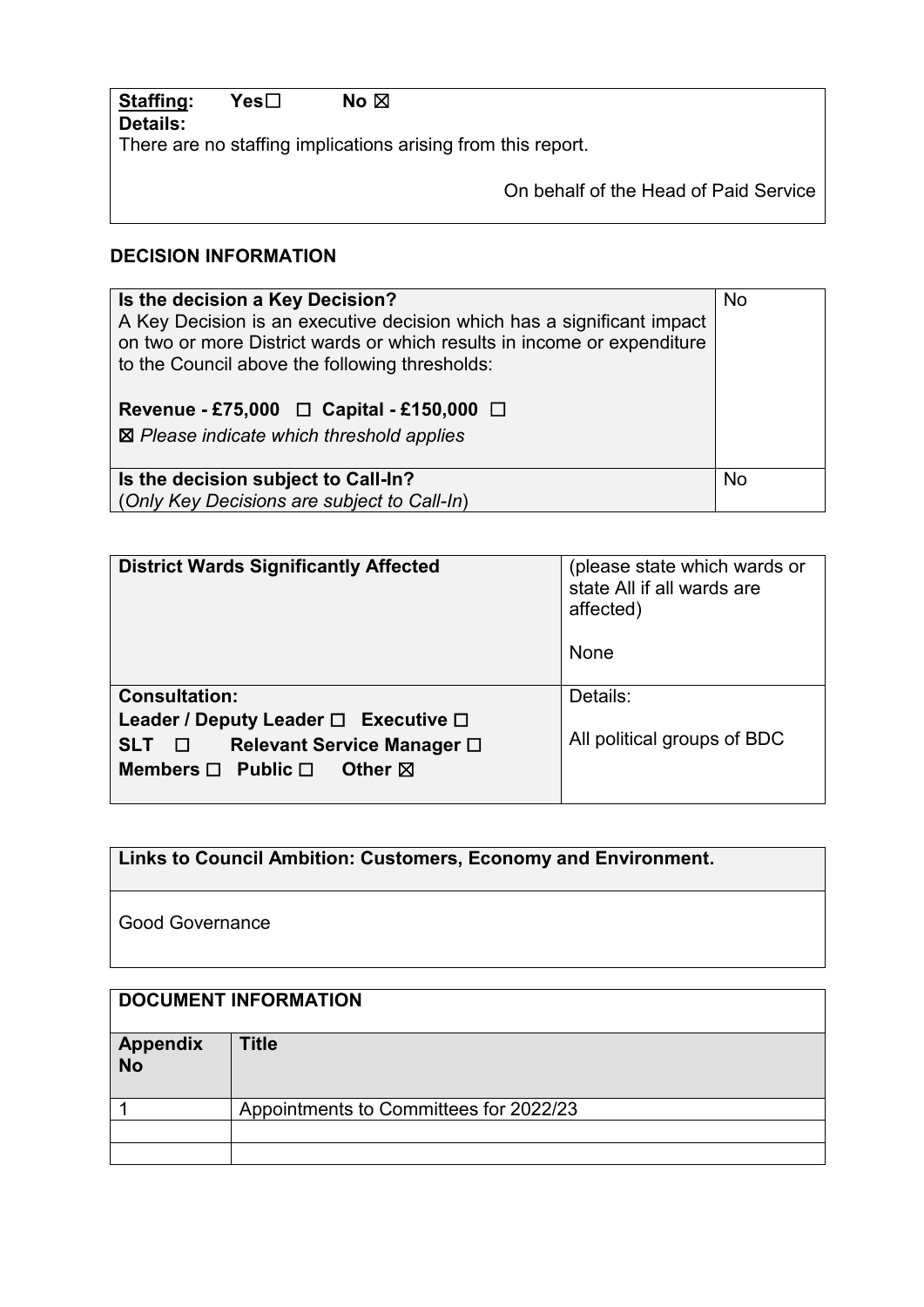| Staffing: | Yes⊟ | No ⊠ |                                                              |
|-----------|------|------|--------------------------------------------------------------|
| Details:  |      |      |                                                              |
|           |      |      | There are no staffing implications arising from this report. |
|           |      |      | On behalf of the Head of Paid Service                        |

## **DECISION INFORMATION**

| Is the decision a Key Decision?<br>A Key Decision is an executive decision which has a significant impact<br>on two or more District wards or which results in income or expenditure<br>to the Council above the following thresholds:<br>Revenue - £75,000 $\Box$ Capital - £150,000 $\Box$<br>$\boxtimes$ Please indicate which threshold applies | No        |
|-----------------------------------------------------------------------------------------------------------------------------------------------------------------------------------------------------------------------------------------------------------------------------------------------------------------------------------------------------|-----------|
| Is the decision subject to Call-In?                                                                                                                                                                                                                                                                                                                 | <b>No</b> |
| (Only Key Decisions are subject to Call-In)                                                                                                                                                                                                                                                                                                         |           |

| <b>District Wards Significantly Affected</b>                                                                                                                       | (please state which wards or<br>state All if all wards are<br>affected)<br>None |
|--------------------------------------------------------------------------------------------------------------------------------------------------------------------|---------------------------------------------------------------------------------|
| <b>Consultation:</b><br>Leader / Deputy Leader $\Box$ Executive $\Box$<br>Relevant Service Manager □<br>SLT O<br>Members $\Box$ Public $\Box$<br>Other $\boxtimes$ | Details:<br>All political groups of BDC                                         |

**Links to Council Ambition: Customers, Economy and Environment.**

Good Governance

| <b>DOCUMENT INFORMATION</b> |                                        |
|-----------------------------|----------------------------------------|
| Appendix<br>No              | <b>Title</b>                           |
|                             | Appointments to Committees for 2022/23 |
|                             |                                        |
|                             |                                        |